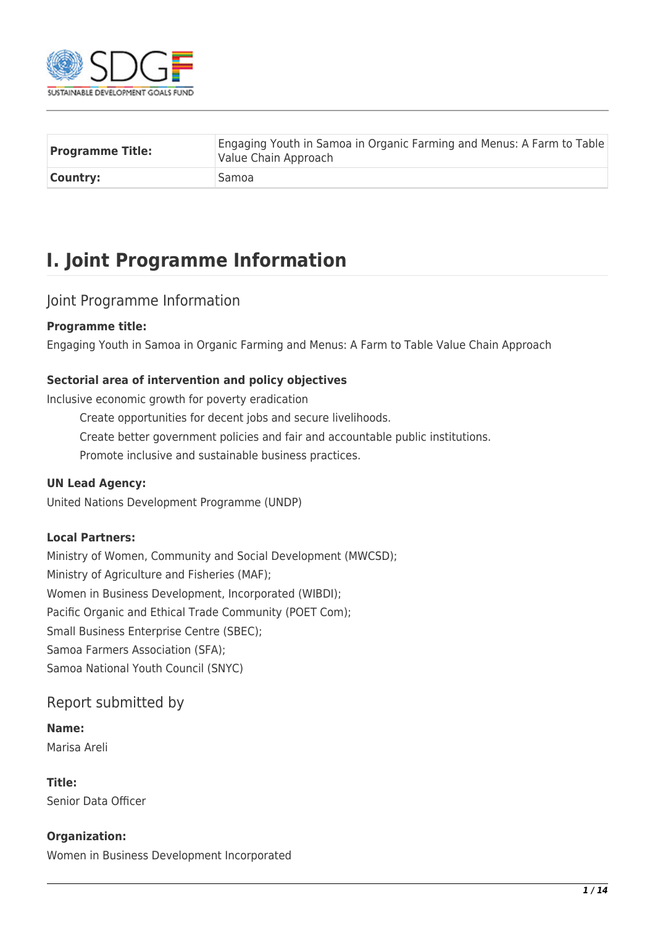

| <b>Programme Title:</b> | Engaging Youth in Samoa in Organic Farming and Menus: A Farm to Table<br>Value Chain Approach |
|-------------------------|-----------------------------------------------------------------------------------------------|
| <b>Country:</b>         | Samoa                                                                                         |

# **I. Joint Programme Information**

### Joint Programme Information

#### **Programme title:**

Engaging Youth in Samoa in Organic Farming and Menus: A Farm to Table Value Chain Approach

#### **Sectorial area of intervention and policy objectives**

Inclusive economic growth for poverty eradication

- Create opportunities for decent jobs and secure livelihoods.
- Create better government policies and fair and accountable public institutions.
- Promote inclusive and sustainable business practices.

#### **UN Lead Agency:**

United Nations Development Programme (UNDP)

#### **Local Partners:**

Ministry of Women, Community and Social Development (MWCSD); Ministry of Agriculture and Fisheries (MAF); Women in Business Development, Incorporated (WIBDI); Pacific Organic and Ethical Trade Community (POET Com); Small Business Enterprise Centre (SBEC); Samoa Farmers Association (SFA); Samoa National Youth Council (SNYC)

### Report submitted by

#### **Name:**

Marisa Areli

**Title:**  Senior Data Officer

#### **Organization:**

Women in Business Development Incorporated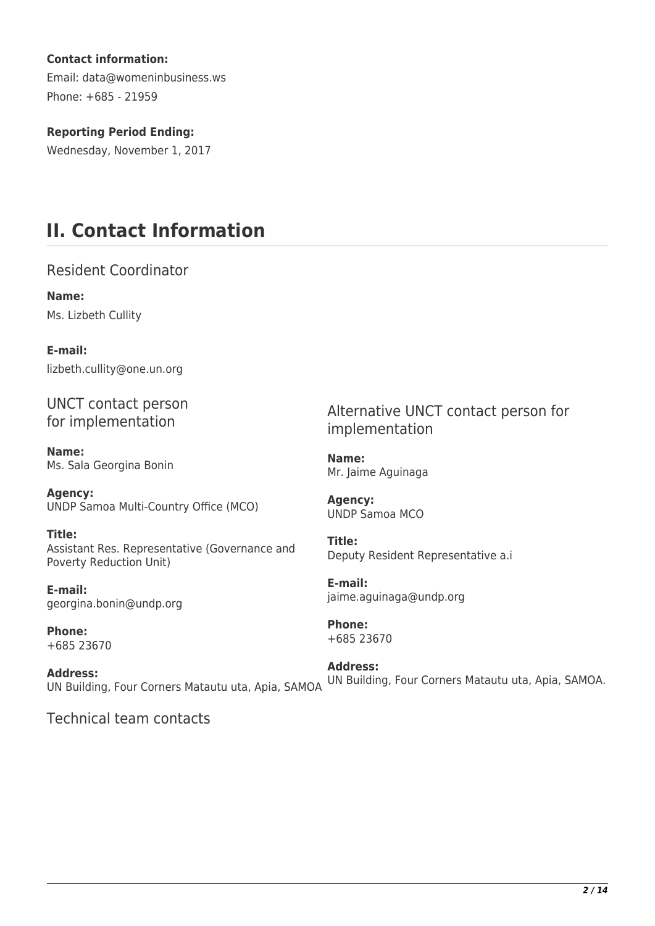**Contact information:**  Email: data@womeninbusiness.ws Phone: +685 - 21959

**Reporting Period Ending:**  Wednesday, November 1, 2017

# **II. Contact Information**

Resident Coordinator

**Name:**  Ms. Lizbeth Cullity

**E-mail:**  lizbeth.cullity@one.un.org

UNCT contact person for implementation

**Name:**  Ms. Sala Georgina Bonin

**Agency:**  UNDP Samoa Multi-Country Office (MCO)

**Title:**  Assistant Res. Representative (Governance and Poverty Reduction Unit)

**E-mail:**  georgina.bonin@undp.org

**Phone:**  +685 23670

**Address:**  UN Building, Four Corners Matautu uta, Apia, SAMOA

Alternative UNCT contact person for implementation

**Name:**  Mr. Jaime Aguinaga

**Agency:**  UNDP Samoa MCO

**Title:**  Deputy Resident Representative a.i

**E-mail:**  jaime.aguinaga@undp.org

**Phone:**  +685 23670

**Address:**  UN Building, Four Corners Matautu uta, Apia, SAMOA.

Technical team contacts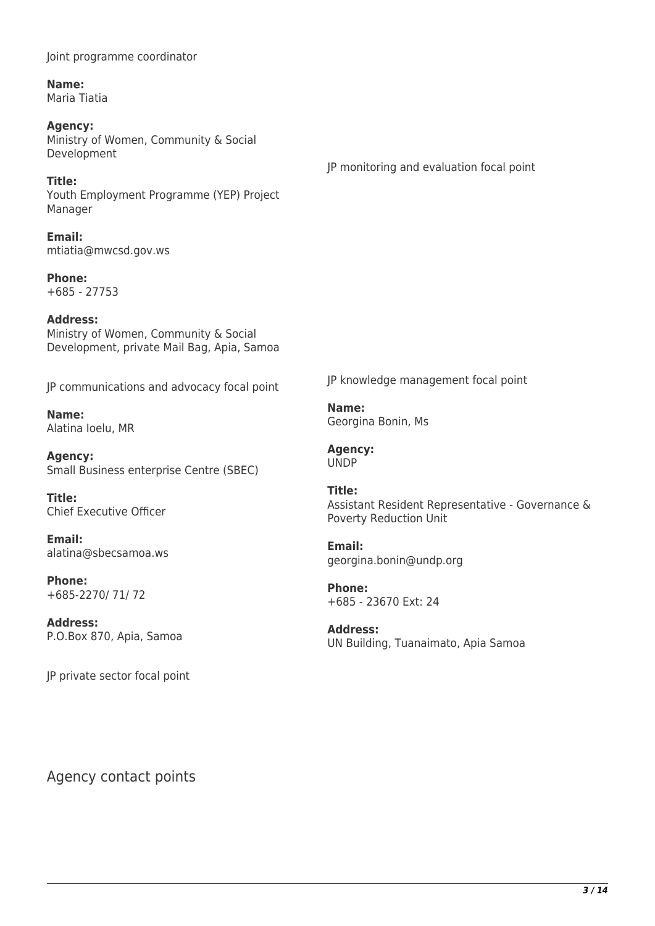#### Joint programme coordinator

**Name:**  Maria Tiatia

**Agency:**  Ministry of Women, Community & Social Development

**Title:**  Youth Employment Programme (YEP) Project Manager

**Email:**  mtiatia@mwcsd.gov.ws

**Phone:**  +685 - 27753

**Address:**  Ministry of Women, Community & Social Development, private Mail Bag, Apia, Samoa

JP communications and advocacy focal point

**Name:**  Alatina Ioelu, MR

**Agency:**  Small Business enterprise Centre (SBEC)

**Title:**  Chief Executive Officer

**Email:**  alatina@sbecsamoa.ws

**Phone:**  +685-2270/ 71/ 72

**Address:**  P.O.Box 870, Apia, Samoa

JP private sector focal point

JP monitoring and evaluation focal point

JP knowledge management focal point

**Name:**  Georgina Bonin, Ms

**Agency:**  UNDP

**Title:**  Assistant Resident Representative - Governance & Poverty Reduction Unit

**Email:**  georgina.bonin@undp.org

**Phone:**  +685 - 23670 Ext: 24

**Address:**  UN Building, Tuanaimato, Apia Samoa

Agency contact points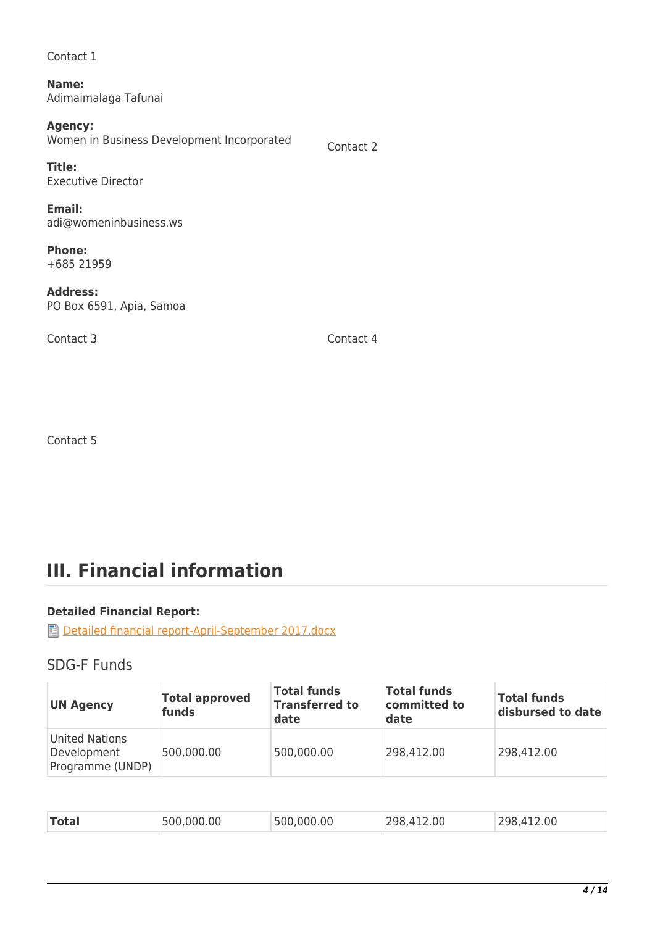Contact 1

**Name:**  Adimaimalaga Tafunai

**Agency:**  Women in Business Development Incorporated

**Title:**  Executive Director

**Email:**  adi@womeninbusiness.ws

**Phone:**  +685 21959

**Address:**  PO Box 6591, Apia, Samoa

Contact 3 Contact 4

Contact 2

Contact 5

# **III. Financial information**

#### **Detailed Financial Report:**

[Detailed financial report-April-September 2017.docx](https://proposals.sdgfund.org/system/files/report-attachments/Detailed%20financial%20report-April-September%202017.docx)

### SDG-F Funds

| <b>UN Agency</b>                                  | <b>Total approved</b><br>funds | <b>Total funds</b><br><b>Transferred to</b><br>date | <b>Total funds</b><br>committed to<br>date | <b>Total funds</b><br>disbursed to date |
|---------------------------------------------------|--------------------------------|-----------------------------------------------------|--------------------------------------------|-----------------------------------------|
| United Nations<br>Development<br>Programme (UNDP) | 500,000.00                     | 500,000.00                                          | 298,412.00                                 | 298,412.00                              |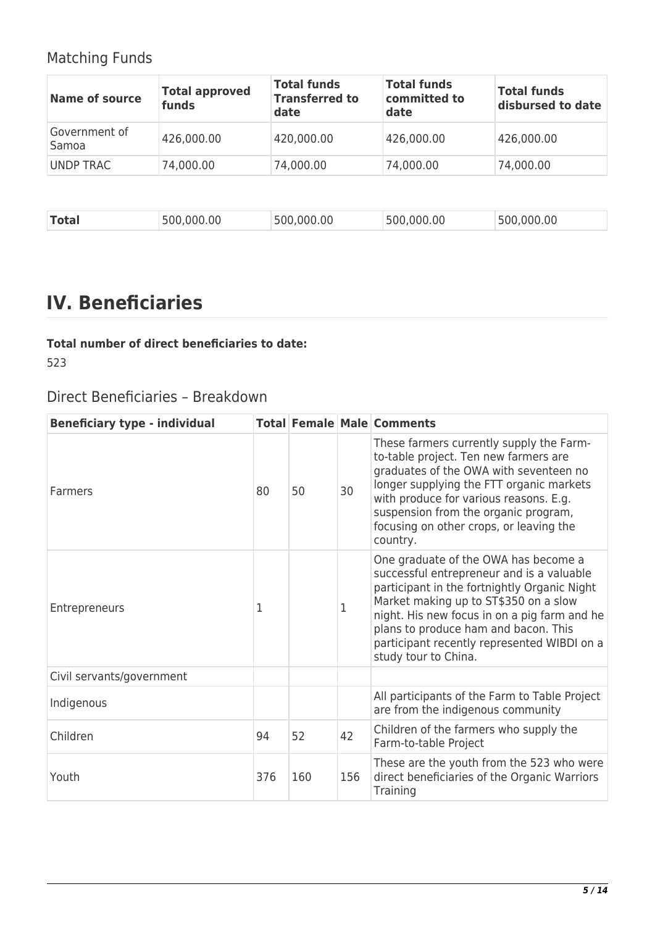## Matching Funds

| <b>Name of source</b>  | <b>Total approved</b><br>funds | <b>Total funds</b><br><b>Transferred to</b><br>date | <b>Total funds</b><br>committed to<br>date | <b>Total funds</b><br>disbursed to date |
|------------------------|--------------------------------|-----------------------------------------------------|--------------------------------------------|-----------------------------------------|
| Government of<br>Samoa | 426,000.00                     | 420,000.00                                          | 426,000.00                                 | 426,000.00                              |
| UNDP TRAC              | 74,000.00                      | 74,000.00                                           | 74,000.00                                  | 74,000.00                               |

| Total | 500.000.00 | 500.000.00 | .000.00<br>500. | 500,000,00 |
|-------|------------|------------|-----------------|------------|
|       |            |            |                 |            |

# **IV. Beneficiaries**

## **Total number of direct beneficiaries to date:**

523

## Direct Beneficiaries – Breakdown

| <b>Beneficiary type - individual</b> |     |     |     | <b>Total Female Male Comments</b>                                                                                                                                                                                                                                                                                                         |
|--------------------------------------|-----|-----|-----|-------------------------------------------------------------------------------------------------------------------------------------------------------------------------------------------------------------------------------------------------------------------------------------------------------------------------------------------|
| Farmers                              | 80  | 50  | 30  | These farmers currently supply the Farm-<br>to-table project. Ten new farmers are<br>graduates of the OWA with seventeen no<br>longer supplying the FTT organic markets<br>with produce for various reasons. E.g.<br>suspension from the organic program,<br>focusing on other crops, or leaving the<br>country.                          |
| Entrepreneurs                        | 1   |     | 1   | One graduate of the OWA has become a<br>successful entrepreneur and is a valuable<br>participant in the fortnightly Organic Night<br>Market making up to ST\$350 on a slow<br>night. His new focus in on a pig farm and he<br>plans to produce ham and bacon. This<br>participant recently represented WIBDI on a<br>study tour to China. |
| Civil servants/government            |     |     |     |                                                                                                                                                                                                                                                                                                                                           |
| Indigenous                           |     |     |     | All participants of the Farm to Table Project<br>are from the indigenous community                                                                                                                                                                                                                                                        |
| Children                             | 94  | 52  | 42  | Children of the farmers who supply the<br>Farm-to-table Project                                                                                                                                                                                                                                                                           |
| Youth                                | 376 | 160 | 156 | These are the youth from the 523 who were<br>direct beneficiaries of the Organic Warriors<br>Training                                                                                                                                                                                                                                     |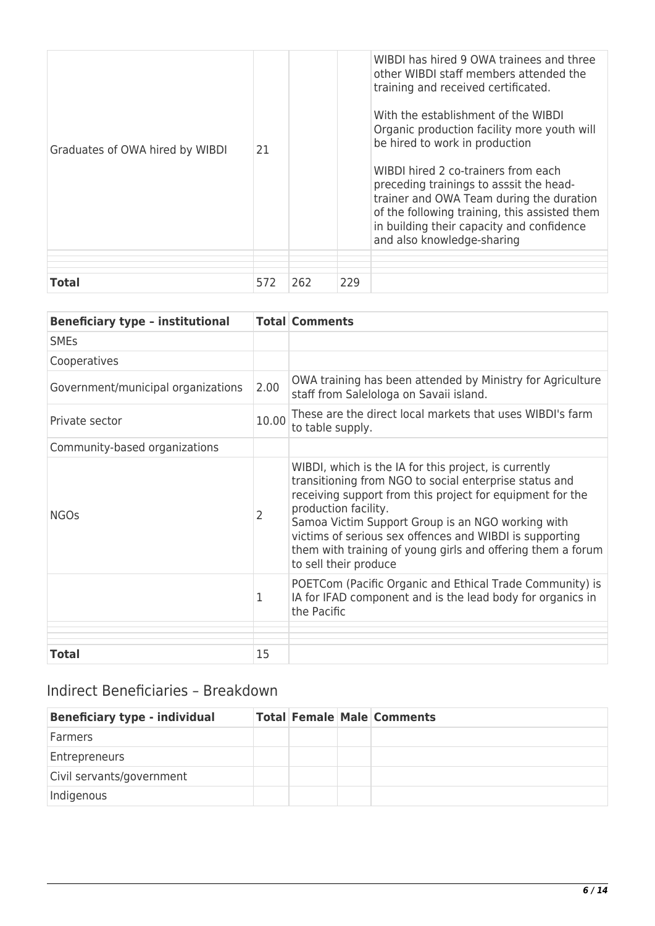| Graduates of OWA hired by WIBDI<br>Total | 21<br>572 | 262 | 229 | Organic production facility more youth will<br>be hired to work in production<br>WIBDI hired 2 co-trainers from each<br>preceding trainings to asssit the head-<br>trainer and OWA Team during the duration<br>of the following training, this assisted them<br>in building their capacity and confidence<br>and also knowledge-sharing |
|------------------------------------------|-----------|-----|-----|-----------------------------------------------------------------------------------------------------------------------------------------------------------------------------------------------------------------------------------------------------------------------------------------------------------------------------------------|
|                                          |           |     |     | WIBDI has hired 9 OWA trainees and three<br>other WIBDI staff members attended the<br>training and received certificated.<br>With the establishment of the WIBDI                                                                                                                                                                        |

| <b>Beneficiary type - institutional</b> |       | <b>Total Comments</b>                                                                                                                                                                                                                                                                                                                                                                                        |
|-----------------------------------------|-------|--------------------------------------------------------------------------------------------------------------------------------------------------------------------------------------------------------------------------------------------------------------------------------------------------------------------------------------------------------------------------------------------------------------|
| <b>SME<sub>S</sub></b>                  |       |                                                                                                                                                                                                                                                                                                                                                                                                              |
| Cooperatives                            |       |                                                                                                                                                                                                                                                                                                                                                                                                              |
| Government/municipal organizations      | 2.00  | OWA training has been attended by Ministry for Agriculture<br>staff from Salelologa on Savaii island.                                                                                                                                                                                                                                                                                                        |
| Private sector                          | 10.00 | These are the direct local markets that uses WIBDI's farm<br>to table supply.                                                                                                                                                                                                                                                                                                                                |
| Community-based organizations           |       |                                                                                                                                                                                                                                                                                                                                                                                                              |
| <b>NGOs</b>                             | 2     | WIBDI, which is the IA for this project, is currently<br>transitioning from NGO to social enterprise status and<br>receiving support from this project for equipment for the<br>production facility.<br>Samoa Victim Support Group is an NGO working with<br>victims of serious sex offences and WIBDI is supporting<br>them with training of young girls and offering them a forum<br>to sell their produce |
|                                         | 1     | POETCom (Pacific Organic and Ethical Trade Community) is<br>IA for IFAD component and is the lead body for organics in<br>the Pacific                                                                                                                                                                                                                                                                        |
| <b>Total</b>                            | 15    |                                                                                                                                                                                                                                                                                                                                                                                                              |
|                                         |       |                                                                                                                                                                                                                                                                                                                                                                                                              |

## Indirect Beneficiaries – Breakdown

| <b>Beneficiary type - individual</b> |  | <b>Total Female Male Comments</b> |
|--------------------------------------|--|-----------------------------------|
| <b>Farmers</b>                       |  |                                   |
| Entrepreneurs                        |  |                                   |
| Civil servants/government            |  |                                   |
| Indigenous                           |  |                                   |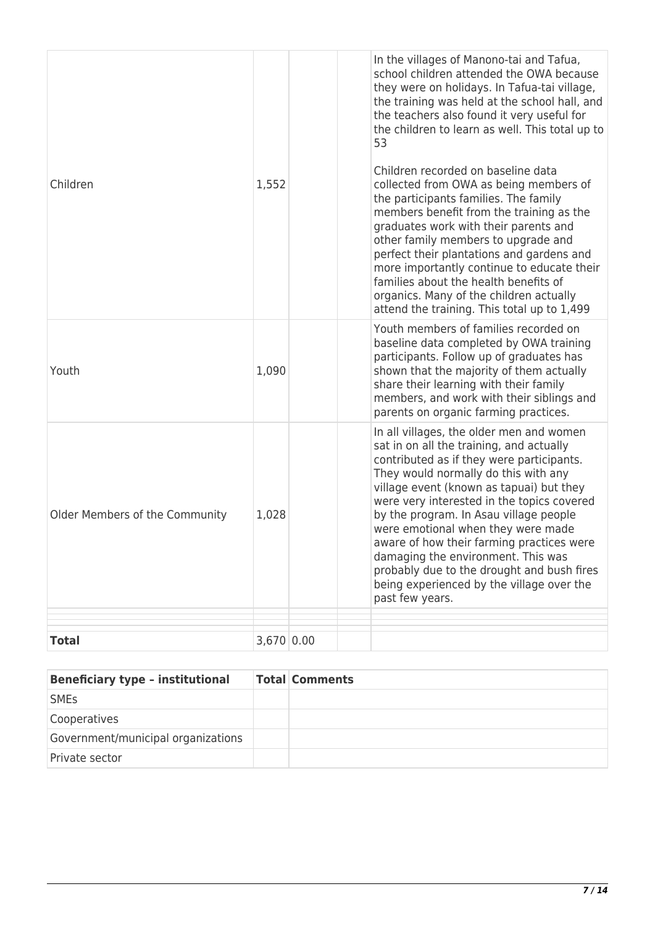| <b>Total</b>                   | 3,670 0.00 |                                                                                                                                                                                                                                                                                                                                                                                                                                                                                                                                                                                                                                                                                                                                                                                 |
|--------------------------------|------------|---------------------------------------------------------------------------------------------------------------------------------------------------------------------------------------------------------------------------------------------------------------------------------------------------------------------------------------------------------------------------------------------------------------------------------------------------------------------------------------------------------------------------------------------------------------------------------------------------------------------------------------------------------------------------------------------------------------------------------------------------------------------------------|
| Older Members of the Community | 1,028      | In all villages, the older men and women<br>sat in on all the training, and actually<br>contributed as if they were participants.<br>They would normally do this with any<br>village event (known as tapuai) but they<br>were very interested in the topics covered<br>by the program. In Asau village people<br>were emotional when they were made<br>aware of how their farming practices were<br>damaging the environment. This was<br>probably due to the drought and bush fires<br>being experienced by the village over the<br>past few years.                                                                                                                                                                                                                            |
| Youth                          | 1,090      | Youth members of families recorded on<br>baseline data completed by OWA training<br>participants. Follow up of graduates has<br>shown that the majority of them actually<br>share their learning with their family<br>members, and work with their siblings and<br>parents on organic farming practices.                                                                                                                                                                                                                                                                                                                                                                                                                                                                        |
| Children                       | 1,552      | In the villages of Manono-tai and Tafua,<br>school children attended the OWA because<br>they were on holidays. In Tafua-tai village,<br>the training was held at the school hall, and<br>the teachers also found it very useful for<br>the children to learn as well. This total up to<br>53<br>Children recorded on baseline data<br>collected from OWA as being members of<br>the participants families. The family<br>members benefit from the training as the<br>graduates work with their parents and<br>other family members to upgrade and<br>perfect their plantations and gardens and<br>more importantly continue to educate their<br>families about the health benefits of<br>organics. Many of the children actually<br>attend the training. This total up to 1,499 |
|                                |            |                                                                                                                                                                                                                                                                                                                                                                                                                                                                                                                                                                                                                                                                                                                                                                                 |

| <b>Beneficiary type - institutional</b> | <b>Total Comments</b> |
|-----------------------------------------|-----------------------|
| <b>SME<sub>S</sub></b>                  |                       |
| <b>Cooperatives</b>                     |                       |
| Government/municipal organizations      |                       |
| Private sector                          |                       |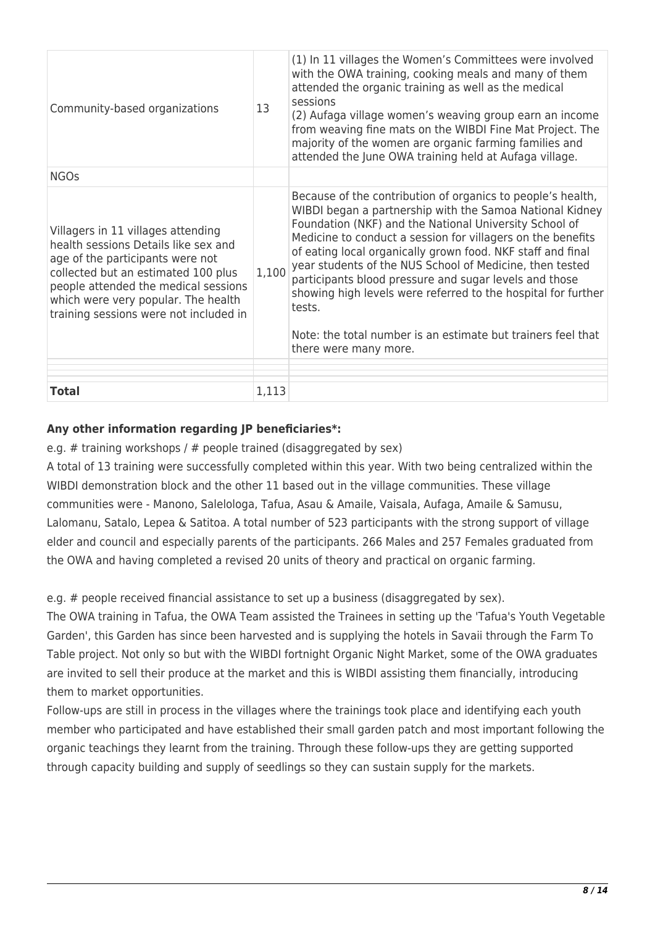| Community-based organizations                                                                                                                                                                                                                                                  | 13    | (1) In 11 villages the Women's Committees were involved<br>with the OWA training, cooking meals and many of them<br>attended the organic training as well as the medical<br>sessions<br>(2) Aufaga village women's weaving group earn an income<br>from weaving fine mats on the WIBDI Fine Mat Project. The<br>majority of the women are organic farming families and<br>attended the June OWA training held at Aufaga village.                                                                                                                                                                          |
|--------------------------------------------------------------------------------------------------------------------------------------------------------------------------------------------------------------------------------------------------------------------------------|-------|-----------------------------------------------------------------------------------------------------------------------------------------------------------------------------------------------------------------------------------------------------------------------------------------------------------------------------------------------------------------------------------------------------------------------------------------------------------------------------------------------------------------------------------------------------------------------------------------------------------|
| <b>NGOs</b>                                                                                                                                                                                                                                                                    |       |                                                                                                                                                                                                                                                                                                                                                                                                                                                                                                                                                                                                           |
| Villagers in 11 villages attending<br>health sessions Details like sex and<br>age of the participants were not<br>collected but an estimated 100 plus<br>people attended the medical sessions<br>which were very popular. The health<br>training sessions were not included in | 1,100 | Because of the contribution of organics to people's health,<br>WIBDI began a partnership with the Samoa National Kidney<br>Foundation (NKF) and the National University School of<br>Medicine to conduct a session for villagers on the benefits<br>of eating local organically grown food. NKF staff and final<br>year students of the NUS School of Medicine, then tested<br>participants blood pressure and sugar levels and those<br>showing high levels were referred to the hospital for further<br>tests.<br>Note: the total number is an estimate but trainers feel that<br>there were many more. |
| <b>Total</b>                                                                                                                                                                                                                                                                   | 1,113 |                                                                                                                                                                                                                                                                                                                                                                                                                                                                                                                                                                                                           |

#### **Any other information regarding JP beneficiaries\*:**

e.g. # training workshops / # people trained (disaggregated by sex)

A total of 13 training were successfully completed within this year. With two being centralized within the WIBDI demonstration block and the other 11 based out in the village communities. These village communities were - Manono, Salelologa, Tafua, Asau & Amaile, Vaisala, Aufaga, Amaile & Samusu, Lalomanu, Satalo, Lepea & Satitoa. A total number of 523 participants with the strong support of village elder and council and especially parents of the participants. 266 Males and 257 Females graduated from the OWA and having completed a revised 20 units of theory and practical on organic farming.

e.g. # people received financial assistance to set up a business (disaggregated by sex).

The OWA training in Tafua, the OWA Team assisted the Trainees in setting up the 'Tafua's Youth Vegetable Garden', this Garden has since been harvested and is supplying the hotels in Savaii through the Farm To Table project. Not only so but with the WIBDI fortnight Organic Night Market, some of the OWA graduates are invited to sell their produce at the market and this is WIBDI assisting them financially, introducing them to market opportunities.

Follow-ups are still in process in the villages where the trainings took place and identifying each youth member who participated and have established their small garden patch and most important following the organic teachings they learnt from the training. Through these follow-ups they are getting supported through capacity building and supply of seedlings so they can sustain supply for the markets.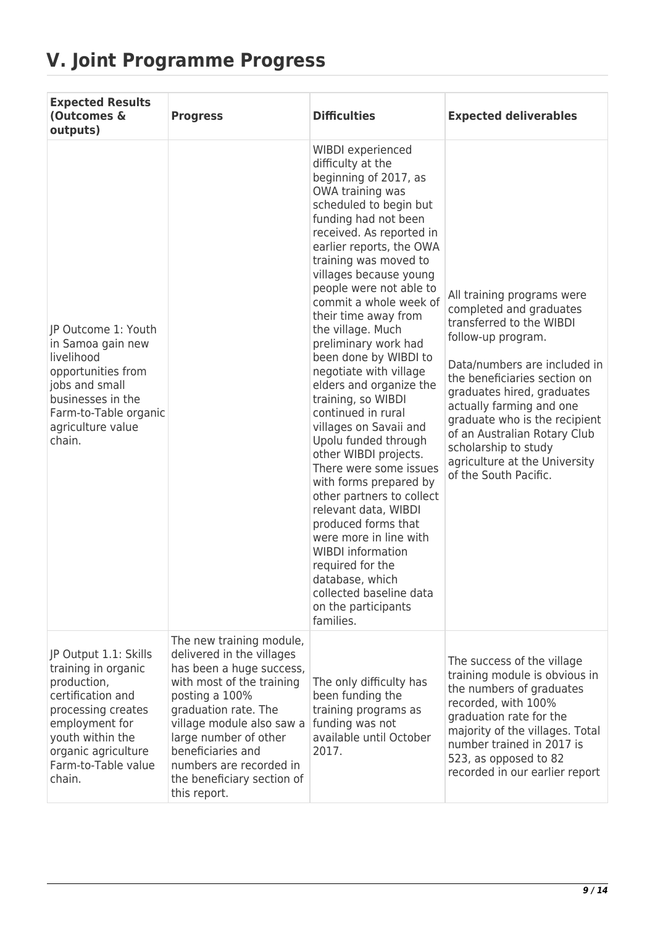# **V. Joint Programme Progress**

| <b>Expected Results</b><br>(Outcomes &<br>outputs)                                                                                                                                                   | <b>Progress</b>                                                                                                                                                                                                                                                                                              | <b>Difficulties</b>                                                                                                                                                                                                                                                                                                                                                                                                                                                                                                                                                                                                                                                                                                                                                                                                                                                         | <b>Expected deliverables</b>                                                                                                                                                                                                                                                                                                                                                         |
|------------------------------------------------------------------------------------------------------------------------------------------------------------------------------------------------------|--------------------------------------------------------------------------------------------------------------------------------------------------------------------------------------------------------------------------------------------------------------------------------------------------------------|-----------------------------------------------------------------------------------------------------------------------------------------------------------------------------------------------------------------------------------------------------------------------------------------------------------------------------------------------------------------------------------------------------------------------------------------------------------------------------------------------------------------------------------------------------------------------------------------------------------------------------------------------------------------------------------------------------------------------------------------------------------------------------------------------------------------------------------------------------------------------------|--------------------------------------------------------------------------------------------------------------------------------------------------------------------------------------------------------------------------------------------------------------------------------------------------------------------------------------------------------------------------------------|
| JP Outcome 1: Youth<br>in Samoa gain new<br>livelihood<br>opportunities from<br>jobs and small<br>businesses in the<br>Farm-to-Table organic<br>agriculture value<br>chain.                          |                                                                                                                                                                                                                                                                                                              | WIBDI experienced<br>difficulty at the<br>beginning of 2017, as<br>OWA training was<br>scheduled to begin but<br>funding had not been<br>received. As reported in<br>earlier reports, the OWA<br>training was moved to<br>villages because young<br>people were not able to<br>commit a whole week of<br>their time away from<br>the village. Much<br>preliminary work had<br>been done by WIBDI to<br>negotiate with village<br>elders and organize the<br>training, so WIBDI<br>continued in rural<br>villages on Savaii and<br>Upolu funded through<br>other WIBDI projects.<br>There were some issues<br>with forms prepared by<br>other partners to collect<br>relevant data, WIBDI<br>produced forms that<br>were more in line with<br><b>WIBDI</b> information<br>required for the<br>database, which<br>collected baseline data<br>on the participants<br>families. | All training programs were<br>completed and graduates<br>transferred to the WIBDI<br>follow-up program.<br>Data/numbers are included in<br>the beneficiaries section on<br>graduates hired, graduates<br>actually farming and one<br>graduate who is the recipient<br>of an Australian Rotary Club<br>scholarship to study<br>agriculture at the University<br>of the South Pacific. |
| JP Output 1.1: Skills<br>training in organic<br>production,<br>certification and<br>processing creates<br>employment for<br>youth within the<br>organic agriculture<br>Farm-to-Table value<br>chain. | The new training module,<br>delivered in the villages<br>has been a huge success,<br>with most of the training<br>posting a 100%<br>graduation rate. The<br>village module also saw a<br>large number of other<br>beneficiaries and<br>numbers are recorded in<br>the beneficiary section of<br>this report. | The only difficulty has<br>been funding the<br>training programs as<br>funding was not<br>available until October<br>2017.                                                                                                                                                                                                                                                                                                                                                                                                                                                                                                                                                                                                                                                                                                                                                  | The success of the village<br>training module is obvious in<br>the numbers of graduates<br>recorded, with 100%<br>graduation rate for the<br>majority of the villages. Total<br>number trained in 2017 is<br>523, as opposed to 82<br>recorded in our earlier report                                                                                                                 |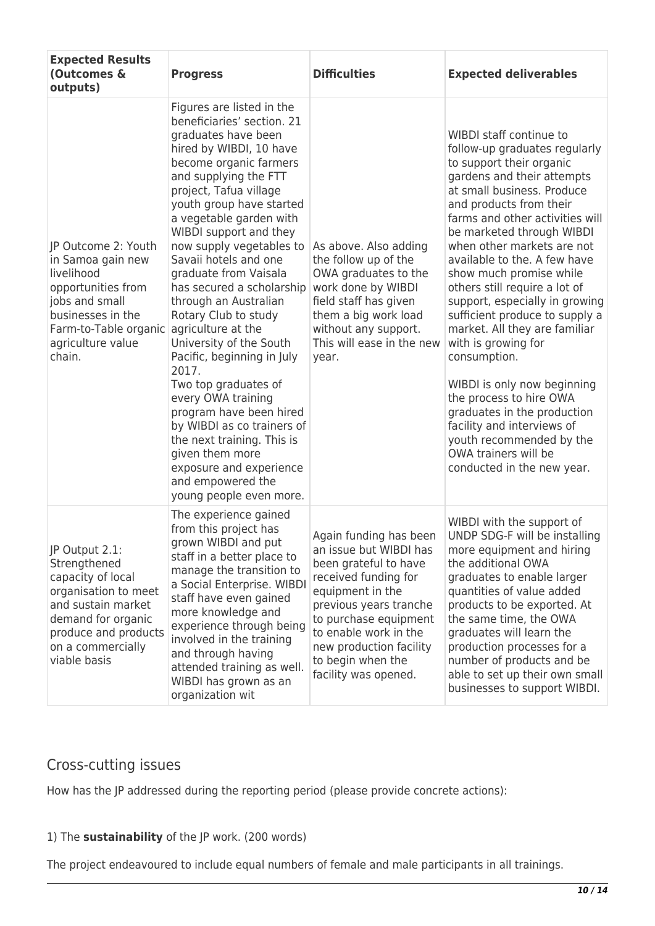| <b>Expected Results</b><br>(Outcomes &<br>outputs)                                                                                                                                   | <b>Progress</b>                                                                                                                                                                                                                                                                                                                                                                                                                                                                                                                                                                                                                                                                                                                                                | <b>Difficulties</b>                                                                                                                                                                                                                                                       | <b>Expected deliverables</b>                                                                                                                                                                                                                                                                                                                                                                                                                                                                                                                                                                                                                                                                                               |
|--------------------------------------------------------------------------------------------------------------------------------------------------------------------------------------|----------------------------------------------------------------------------------------------------------------------------------------------------------------------------------------------------------------------------------------------------------------------------------------------------------------------------------------------------------------------------------------------------------------------------------------------------------------------------------------------------------------------------------------------------------------------------------------------------------------------------------------------------------------------------------------------------------------------------------------------------------------|---------------------------------------------------------------------------------------------------------------------------------------------------------------------------------------------------------------------------------------------------------------------------|----------------------------------------------------------------------------------------------------------------------------------------------------------------------------------------------------------------------------------------------------------------------------------------------------------------------------------------------------------------------------------------------------------------------------------------------------------------------------------------------------------------------------------------------------------------------------------------------------------------------------------------------------------------------------------------------------------------------------|
| JP Outcome 2: Youth<br>in Samoa gain new<br>livelihood<br>opportunities from<br>jobs and small<br>businesses in the<br>Farm-to-Table organic<br>agriculture value<br>chain.          | Figures are listed in the<br>beneficiaries' section. 21<br>graduates have been<br>hired by WIBDI, 10 have<br>become organic farmers<br>and supplying the FTT<br>project, Tafua village<br>youth group have started<br>a vegetable garden with<br>WIBDI support and they<br>now supply vegetables to<br>Savaii hotels and one<br>graduate from Vaisala<br>has secured a scholarship<br>through an Australian<br>Rotary Club to study<br>agriculture at the<br>University of the South<br>Pacific, beginning in July<br>2017.<br>Two top graduates of<br>every OWA training<br>program have been hired<br>by WIBDI as co trainers of<br>the next training. This is<br>given them more<br>exposure and experience<br>and empowered the<br>young people even more. | As above. Also adding<br>the follow up of the<br>OWA graduates to the<br>work done by WIBDI<br>field staff has given<br>them a big work load<br>without any support.<br>This will ease in the new<br>year.                                                                | WIBDI staff continue to<br>follow-up graduates regularly<br>to support their organic<br>gardens and their attempts<br>at small business. Produce<br>and products from their<br>farms and other activities will<br>be marketed through WIBDI<br>when other markets are not<br>available to the. A few have<br>show much promise while<br>others still require a lot of<br>support, especially in growing<br>sufficient produce to supply a<br>market. All they are familiar<br>with is growing for<br>consumption.<br>WIBDI is only now beginning<br>the process to hire OWA<br>graduates in the production<br>facility and interviews of<br>youth recommended by the<br>OWA trainers will be<br>conducted in the new year. |
| JP Output 2.1:<br>Strengthened<br>capacity of local<br>organisation to meet<br>and sustain market<br>demand for organic<br>produce and products<br>on a commercially<br>viable basis | The experience gained<br>from this project has<br>grown WIBDI and put<br>staff in a better place to<br>manage the transition to<br>a Social Enterprise. WIBDI<br>staff have even gained<br>more knowledge and<br>experience through being<br>involved in the training<br>and through having<br>attended training as well.<br>WIBDI has grown as an<br>organization wit                                                                                                                                                                                                                                                                                                                                                                                         | Again funding has been<br>an issue but WIBDI has<br>been grateful to have<br>received funding for<br>equipment in the<br>previous years tranche<br>to purchase equipment<br>to enable work in the<br>new production facility<br>to begin when the<br>facility was opened. | WIBDI with the support of<br>UNDP SDG-F will be installing<br>more equipment and hiring<br>the additional OWA<br>graduates to enable larger<br>quantities of value added<br>products to be exported. At<br>the same time, the OWA<br>graduates will learn the<br>production processes for a<br>number of products and be<br>able to set up their own small<br>businesses to support WIBDI.                                                                                                                                                                                                                                                                                                                                 |

### Cross-cutting issues

How has the JP addressed during the reporting period (please provide concrete actions):

#### 1) The **sustainability** of the JP work. (200 words)

The project endeavoured to include equal numbers of female and male participants in all trainings.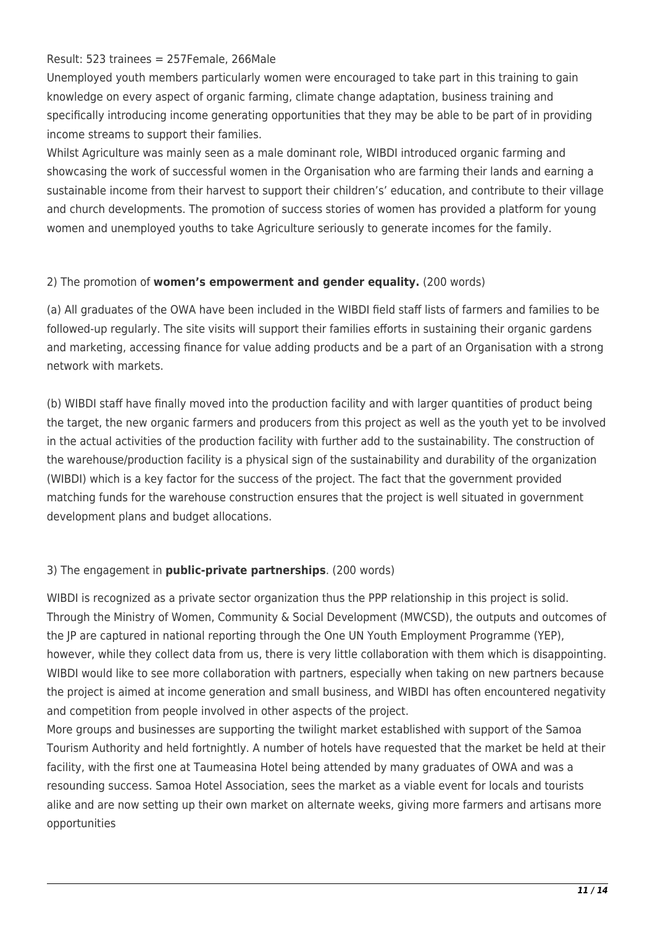#### Result: 523 trainees = 257Female, 266Male

Unemployed youth members particularly women were encouraged to take part in this training to gain knowledge on every aspect of organic farming, climate change adaptation, business training and specifically introducing income generating opportunities that they may be able to be part of in providing income streams to support their families.

Whilst Agriculture was mainly seen as a male dominant role, WIBDI introduced organic farming and showcasing the work of successful women in the Organisation who are farming their lands and earning a sustainable income from their harvest to support their children's' education, and contribute to their village and church developments. The promotion of success stories of women has provided a platform for young women and unemployed youths to take Agriculture seriously to generate incomes for the family.

#### 2) The promotion of **women's empowerment and gender equality.** (200 words)

(a) All graduates of the OWA have been included in the WIBDI field staff lists of farmers and families to be followed-up regularly. The site visits will support their families efforts in sustaining their organic gardens and marketing, accessing finance for value adding products and be a part of an Organisation with a strong network with markets.

(b) WIBDI staff have finally moved into the production facility and with larger quantities of product being the target, the new organic farmers and producers from this project as well as the youth yet to be involved in the actual activities of the production facility with further add to the sustainability. The construction of the warehouse/production facility is a physical sign of the sustainability and durability of the organization (WIBDI) which is a key factor for the success of the project. The fact that the government provided matching funds for the warehouse construction ensures that the project is well situated in government development plans and budget allocations.

#### 3) The engagement in **public-private partnerships**. (200 words)

WIBDI is recognized as a private sector organization thus the PPP relationship in this project is solid. Through the Ministry of Women, Community & Social Development (MWCSD), the outputs and outcomes of the JP are captured in national reporting through the One UN Youth Employment Programme (YEP), however, while they collect data from us, there is very little collaboration with them which is disappointing. WIBDI would like to see more collaboration with partners, especially when taking on new partners because the project is aimed at income generation and small business, and WIBDI has often encountered negativity and competition from people involved in other aspects of the project.

More groups and businesses are supporting the twilight market established with support of the Samoa Tourism Authority and held fortnightly. A number of hotels have requested that the market be held at their facility, with the first one at Taumeasina Hotel being attended by many graduates of OWA and was a resounding success. Samoa Hotel Association, sees the market as a viable event for locals and tourists alike and are now setting up their own market on alternate weeks, giving more farmers and artisans more opportunities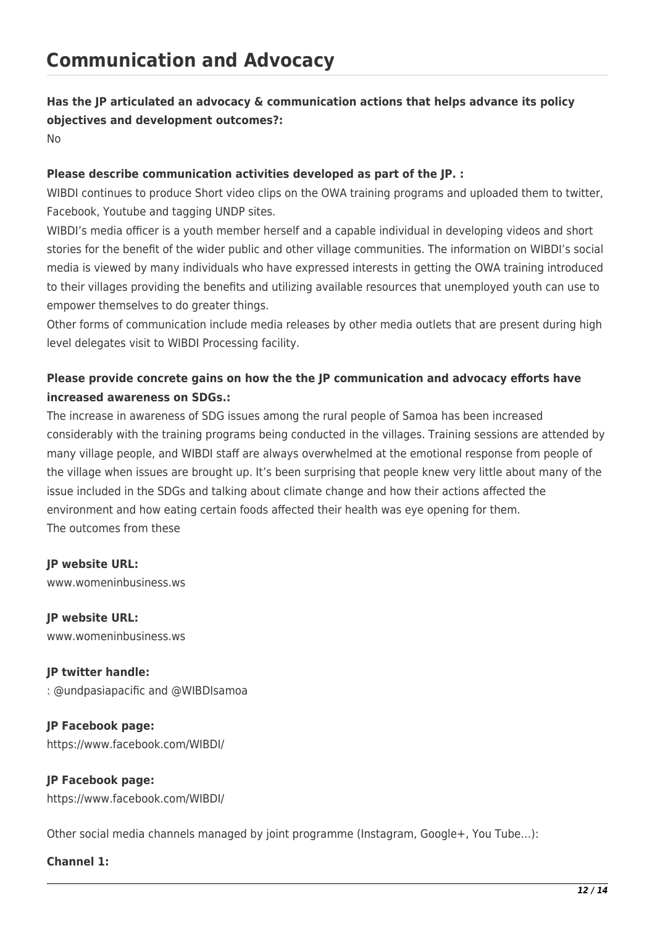#### **Has the JP articulated an advocacy & communication actions that helps advance its policy objectives and development outcomes?:**

No

#### **Please describe communication activities developed as part of the JP. :**

WIBDI continues to produce Short video clips on the OWA training programs and uploaded them to twitter, Facebook, Youtube and tagging UNDP sites.

WIBDI's media officer is a youth member herself and a capable individual in developing videos and short stories for the benefit of the wider public and other village communities. The information on WIBDI's social media is viewed by many individuals who have expressed interests in getting the OWA training introduced to their villages providing the benefits and utilizing available resources that unemployed youth can use to empower themselves to do greater things.

Other forms of communication include media releases by other media outlets that are present during high level delegates visit to WIBDI Processing facility.

#### **Please provide concrete gains on how the the JP communication and advocacy efforts have increased awareness on SDGs.:**

The increase in awareness of SDG issues among the rural people of Samoa has been increased considerably with the training programs being conducted in the villages. Training sessions are attended by many village people, and WIBDI staff are always overwhelmed at the emotional response from people of the village when issues are brought up. It's been surprising that people knew very little about many of the issue included in the SDGs and talking about climate change and how their actions affected the environment and how eating certain foods affected their health was eye opening for them. The outcomes from these

**JP website URL:**  www.womeninbusiness.ws

**JP website URL:**  www.womeninbusiness.ws

**JP twitter handle:**  : @undpasiapacific and @WIBDIsamoa

**JP Facebook page:**  https://www.facebook.com/WIBDI/

**JP Facebook page:**  https://www.facebook.com/WIBDI/

Other social media channels managed by joint programme (Instagram, Google+, You Tube…):

#### **Channel 1:**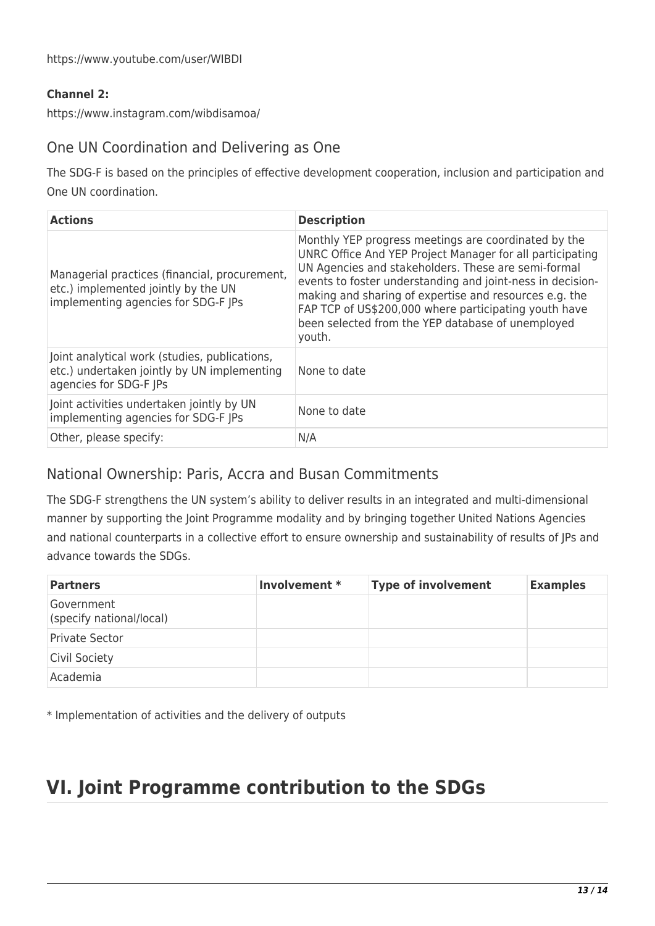#### **Channel 2:**

https://www.instagram.com/wibdisamoa/

### One UN Coordination and Delivering as One

The SDG-F is based on the principles of effective development cooperation, inclusion and participation and One UN coordination.

| <b>Actions</b>                                                                                                              | <b>Description</b>                                                                                                                                                                                                                                                                                                                                                                                                       |
|-----------------------------------------------------------------------------------------------------------------------------|--------------------------------------------------------------------------------------------------------------------------------------------------------------------------------------------------------------------------------------------------------------------------------------------------------------------------------------------------------------------------------------------------------------------------|
| Managerial practices (financial, procurement,<br>etc.) implemented jointly by the UN<br>implementing agencies for SDG-F JPs | Monthly YEP progress meetings are coordinated by the<br>UNRC Office And YEP Project Manager for all participating<br>UN Agencies and stakeholders. These are semi-formal<br>events to foster understanding and joint-ness in decision-<br>making and sharing of expertise and resources e.g. the<br>FAP TCP of US\$200,000 where participating youth have<br>been selected from the YEP database of unemployed<br>youth. |
| Joint analytical work (studies, publications,<br>etc.) undertaken jointly by UN implementing<br>agencies for SDG-F JPs      | None to date                                                                                                                                                                                                                                                                                                                                                                                                             |
| Joint activities undertaken jointly by UN<br>implementing agencies for SDG-F JPs                                            | None to date                                                                                                                                                                                                                                                                                                                                                                                                             |
| Other, please specify:                                                                                                      | N/A                                                                                                                                                                                                                                                                                                                                                                                                                      |

#### National Ownership: Paris, Accra and Busan Commitments

The SDG-F strengthens the UN system's ability to deliver results in an integrated and multi-dimensional manner by supporting the Joint Programme modality and by bringing together United Nations Agencies and national counterparts in a collective effort to ensure ownership and sustainability of results of JPs and advance towards the SDGs.

| <b>Partners</b>                        | Involvement * | <b>Type of involvement</b> | <b>Examples</b> |
|----------------------------------------|---------------|----------------------------|-----------------|
| Government<br>(specify national/local) |               |                            |                 |
| <b>Private Sector</b>                  |               |                            |                 |
| Civil Society                          |               |                            |                 |
| Academia                               |               |                            |                 |

\* Implementation of activities and the delivery of outputs

## **VI. Joint Programme contribution to the SDGs**